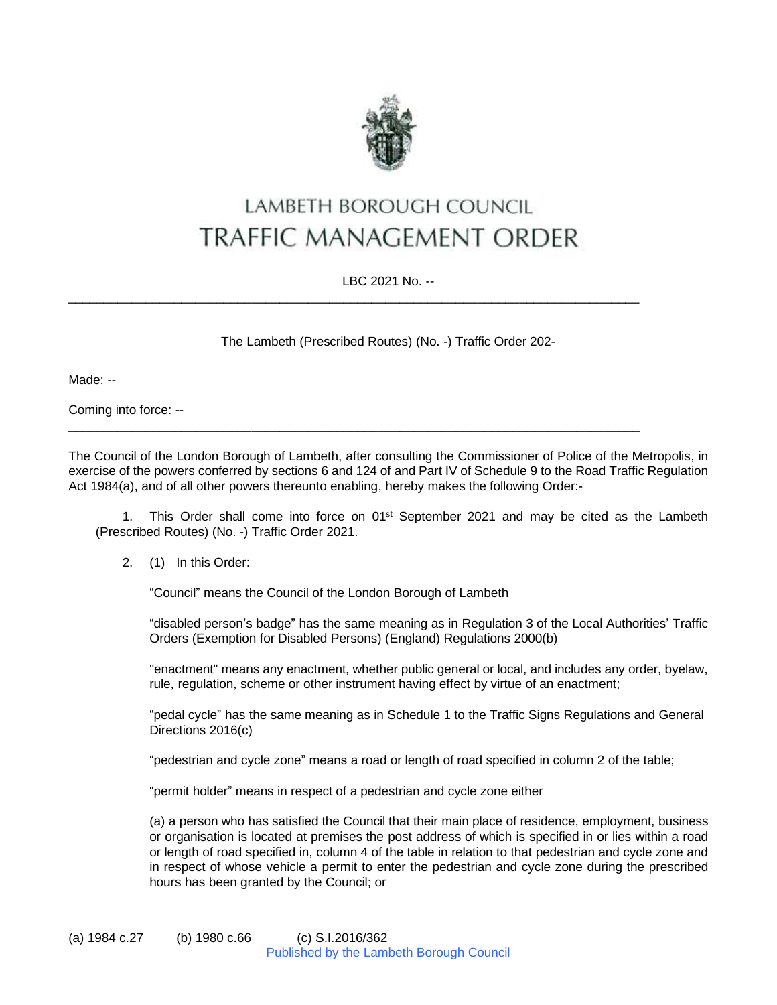

## LAMBETH BOROUGH COUNCIL **TRAFFIC MANAGEMENT ORDER**

LBC 2021 No. --

\_\_\_\_\_\_\_\_\_\_\_\_\_\_\_\_\_\_\_\_\_\_\_\_\_\_\_\_\_\_\_\_\_\_\_\_\_\_\_\_\_\_\_\_\_\_\_\_\_\_\_\_\_\_\_\_\_\_\_\_\_\_\_\_\_\_\_\_\_\_\_\_\_\_\_\_\_\_\_\_\_

 $\_$  ,  $\_$  ,  $\_$  ,  $\_$  ,  $\_$  ,  $\_$  ,  $\_$  ,  $\_$  ,  $\_$  ,  $\_$  ,  $\_$  ,  $\_$  ,  $\_$  ,  $\_$  ,  $\_$  ,  $\_$  ,  $\_$  ,  $\_$  ,  $\_$  ,  $\_$  ,  $\_$  ,  $\_$  ,  $\_$  ,  $\_$  ,  $\_$  ,  $\_$  ,  $\_$  ,  $\_$  ,  $\_$  ,  $\_$  ,  $\_$  ,  $\_$  ,  $\_$  ,  $\_$  ,  $\_$  ,  $\_$  ,  $\_$  ,

The Lambeth (Prescribed Routes) (No. -) Traffic Order 202-

Made: --

Coming into force: --

The Council of the London Borough of Lambeth, after consulting the Commissioner of Police of the Metropolis, in exercise of the powers conferred by sections 6 and 124 of and Part IV of Schedule 9 to the Road Traffic Regulation Act 1984(a), and of all other powers thereunto enabling, hereby makes the following Order:-

1. This Order shall come into force on 01<sup>st</sup> September 2021 and may be cited as the Lambeth (Prescribed Routes) (No. -) Traffic Order 2021.

## 2. (1) In this Order:

"Council" means the Council of the London Borough of Lambeth

"disabled person's badge" has the same meaning as in Regulation 3 of the Local Authorities' Traffic Orders (Exemption for Disabled Persons) (England) Regulations 2000(b)

"enactment" means any enactment, whether public general or local, and includes any order, byelaw, rule, regulation, scheme or other instrument having effect by virtue of an enactment;

"pedal cycle" has the same meaning as in Schedule 1 to the Traffic Signs Regulations and General Directions 2016(c)

"pedestrian and cycle zone" means a road or length of road specified in column 2 of the table;

"permit holder" means in respect of a pedestrian and cycle zone either

(a) a person who has satisfied the Council that their main place of residence, employment, business or organisation is located at premises the post address of which is specified in or lies within a road or length of road specified in, column 4 of the table in relation to that pedestrian and cycle zone and in respect of whose vehicle a permit to enter the pedestrian and cycle zone during the prescribed hours has been granted by the Council; or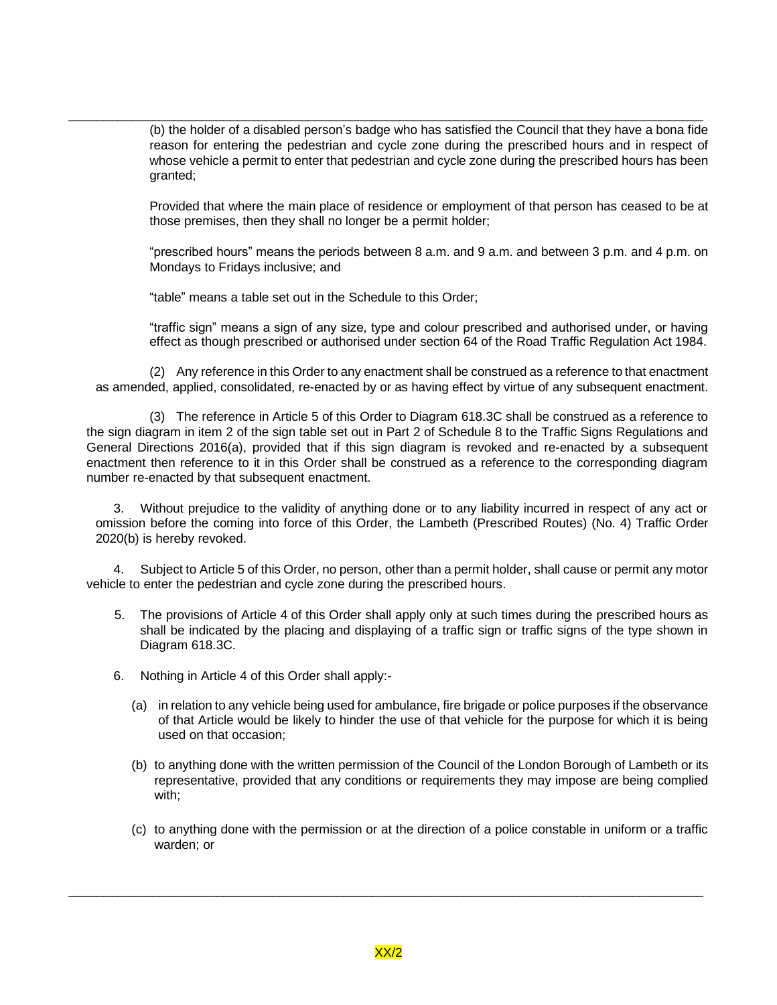(b) the holder of a disabled person's badge who has satisfied the Council that they have a bona fide reason for entering the pedestrian and cycle zone during the prescribed hours and in respect of whose vehicle a permit to enter that pedestrian and cycle zone during the prescribed hours has been granted;

 $\_$  ,  $\_$  ,  $\_$  ,  $\_$  ,  $\_$  ,  $\_$  ,  $\_$  ,  $\_$  ,  $\_$  ,  $\_$  ,  $\_$  ,  $\_$  ,  $\_$  ,  $\_$  ,  $\_$  ,  $\_$  ,  $\_$  ,  $\_$  ,  $\_$  ,  $\_$  ,  $\_$  ,  $\_$  ,  $\_$  ,  $\_$  ,  $\_$  ,  $\_$  ,  $\_$  ,  $\_$  ,  $\_$  ,  $\_$  ,  $\_$  ,  $\_$  ,  $\_$  ,  $\_$  ,  $\_$  ,  $\_$  ,  $\_$  ,

Provided that where the main place of residence or employment of that person has ceased to be at those premises, then they shall no longer be a permit holder;

"prescribed hours" means the periods between 8 a.m. and 9 a.m. and between 3 p.m. and 4 p.m. on Mondays to Fridays inclusive; and

"table" means a table set out in the Schedule to this Order;

"traffic sign" means a sign of any size, type and colour prescribed and authorised under, or having effect as though prescribed or authorised under section 64 of the Road Traffic Regulation Act 1984.

(2) Any reference in this Order to any enactment shall be construed as a reference to that enactment as amended, applied, consolidated, re-enacted by or as having effect by virtue of any subsequent enactment.

(3) The reference in Article 5 of this Order to Diagram 618.3C shall be construed as a reference to the sign diagram in item 2 of the sign table set out in Part 2 of Schedule 8 to the Traffic Signs Regulations and General Directions 2016(a), provided that if this sign diagram is revoked and re-enacted by a subsequent enactment then reference to it in this Order shall be construed as a reference to the corresponding diagram number re-enacted by that subsequent enactment.

3. Without prejudice to the validity of anything done or to any liability incurred in respect of any act or omission before the coming into force of this Order, the Lambeth (Prescribed Routes) (No. 4) Traffic Order 2020(b) is hereby revoked.

4. Subject to Article 5 of this Order, no person, other than a permit holder, shall cause or permit any motor vehicle to enter the pedestrian and cycle zone during the prescribed hours.

- 5. The provisions of Article 4 of this Order shall apply only at such times during the prescribed hours as shall be indicated by the placing and displaying of a traffic sign or traffic signs of the type shown in Diagram 618.3C.
- 6. Nothing in Article 4 of this Order shall apply:-
	- (a) in relation to any vehicle being used for ambulance, fire brigade or police purposes if the observance of that Article would be likely to hinder the use of that vehicle for the purpose for which it is being used on that occasion;
	- (b) to anything done with the written permission of the Council of the London Borough of Lambeth or its representative, provided that any conditions or requirements they may impose are being complied with;
	- (c) to anything done with the permission or at the direction of a police constable in uniform or a traffic warden; or

 $\_$  ,  $\_$  ,  $\_$  ,  $\_$  ,  $\_$  ,  $\_$  ,  $\_$  ,  $\_$  ,  $\_$  ,  $\_$  ,  $\_$  ,  $\_$  ,  $\_$  ,  $\_$  ,  $\_$  ,  $\_$  ,  $\_$  ,  $\_$  ,  $\_$  ,  $\_$  ,  $\_$  ,  $\_$  ,  $\_$  ,  $\_$  ,  $\_$  ,  $\_$  ,  $\_$  ,  $\_$  ,  $\_$  ,  $\_$  ,  $\_$  ,  $\_$  ,  $\_$  ,  $\_$  ,  $\_$  ,  $\_$  ,  $\_$  ,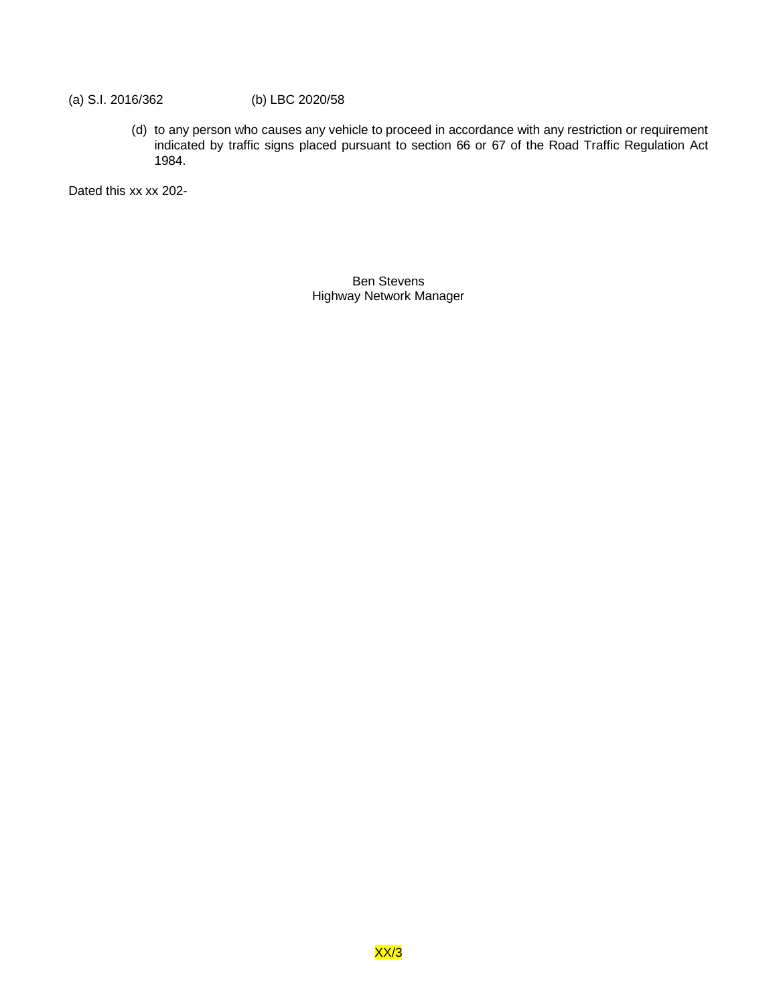## (a) S.I. 2016/362 (b) LBC 2020/58

(d) to any person who causes any vehicle to proceed in accordance with any restriction or requirement indicated by traffic signs placed pursuant to section 66 or 67 of the Road Traffic Regulation Act 1984.

Dated this xx xx 202-

Ben Stevens Highway Network Manager